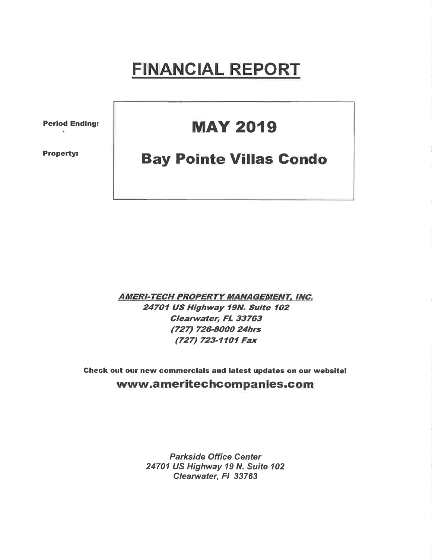# FINANCIAL REPORT

Period Ending:

Property:

## **MAY 2019**

#### **Bay Pointe Villas Condo**

**AMERI-TECH PROPERTY MANAGEMENT, INC.** 24701 US Highway 19N. Suite 102 Clearwater, FL 33763 (727) 726-8000 24hrs (727) 723-1101 Fax

Gheck out our new commercials and latest updates on our website! www.ameritechcompanies.com

> Parkside Office Center 24701 US Highway 19 N. Suite 102 Clearwater, Fl 33763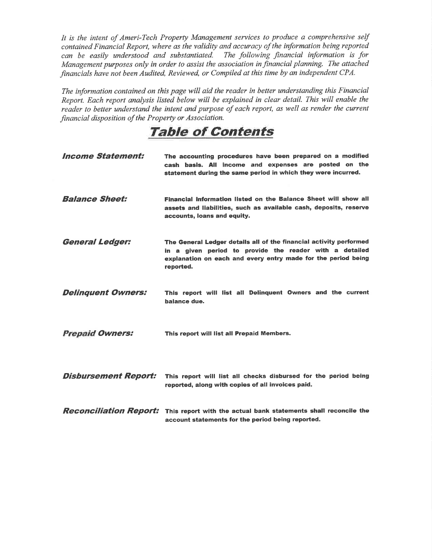It is the intent of Ameri-Tech Property Management services to produce a comprehensive self contained Financial Report, where as the validity and accuracy of the information being reported can be easily understood and substantiated. The following financial information is for Management purposes only in order to assist the association in financial planning. The attached financials have not been Audíted, Reviewed, or Compiled at this time by an independent CPA.

The information contained on this page will aid the reader in better understanding this Financial Report. Each report analysis listed below will be explained in clear detail. This will enable the reader to better understand the intent and purpose of each report, as well as render the current financial disposition of the Property or Association.

### TaþIe of Contents

| <b>Income Statement:</b>    | The accounting procedures have been prepared on a modified<br>cash basis. All income and expenses are posted on the<br>statement during the same period in which they were incurred.                        |
|-----------------------------|-------------------------------------------------------------------------------------------------------------------------------------------------------------------------------------------------------------|
| <b>Balance Sheet:</b>       | Financial information listed on the Balance Sheet will show all<br>assets and liabilities, such as available cash, deposits, reserve<br>accounts, loans and equity.                                         |
| <b>General Ledger:</b>      | The General Ledger details all of the financial activity performed<br>in a given period to provide the reader with a detailed<br>explanation on each and every entry made for the period being<br>reported. |
| <b>Delinquent Owners:</b>   | This report will list all Delinquent Owners and the current<br>balance due.                                                                                                                                 |
| <b>Prepaid Owners:</b>      | This report will list all Prepaid Members.                                                                                                                                                                  |
| <b>Disbursement Report:</b> | This report will list all checks disbursed for the period being<br>reported, along with copies of all invoices paid.                                                                                        |
|                             | <b>Reconciliation Report:</b> This report with the actual bank statements shall reconcile the<br>account statements for the period being reported.                                                          |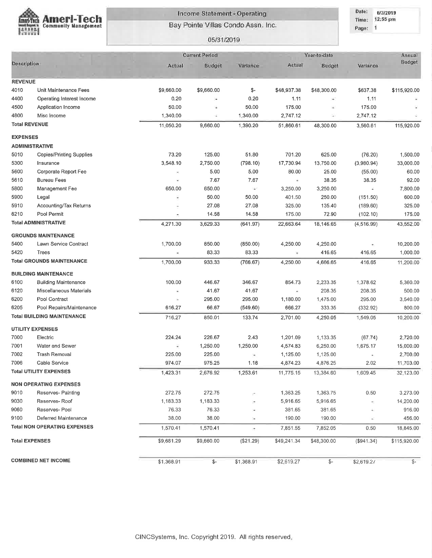

#### Income Statement - Operating

Bay Pointe Villas Condo Assn. Inc.

05/31/2019

Date: 6/3/2019 Time: 12:55 pm

Page: 1

|                       |                                     |            | <b>Current Period</b> |                          | Year-to-date             |                | Annual      |                 |
|-----------------------|-------------------------------------|------------|-----------------------|--------------------------|--------------------------|----------------|-------------|-----------------|
| <b>Description</b>    |                                     | Actual     | <b>Budget</b>         | Variance:                | Actual                   | <b>Budget</b>  | Variance    | <b>Budget</b>   |
|                       |                                     |            |                       |                          |                          |                |             |                 |
| <b>REVENUE</b>        |                                     |            |                       |                          |                          |                |             |                 |
| 4010                  | Unit Maintenance Fees               | \$9,660.00 | \$9,660.00            | \$-                      | \$48,937.38              | \$48,300.00    | \$637.38    | \$115,920.00    |
| 4400                  | Operating Interest Income           | 0.20       | ٠                     | 0.20                     | 1.11                     | $\blacksquare$ | 1.11        |                 |
| 4500                  | Application Income                  | 50.00      |                       | 50.00                    | 175.00                   |                | 175.00      |                 |
| 4800                  | Misc Income                         | 1,340.00   | ÷                     | 1,340.00                 | 2,747.12                 | ÷              | 2,747.12    |                 |
| <b>Total REVENUE</b>  |                                     | 11,050.20  | 9,660.00              | 1,390.20                 | 51,860.61                | 48,300.00      | 3,560.61    | 115,920.00      |
| <b>EXPENSES</b>       |                                     |            |                       |                          |                          |                |             |                 |
| <b>ADMINISTRATIVE</b> |                                     |            |                       |                          |                          |                |             |                 |
| 5010                  | <b>Copies/Printing Supplies</b>     | 73.20      | 125.00                | 51.80                    | 701.20                   | 625.00         | (76.20)     | 1,500.00        |
| 5300                  | Insurance                           | 3,548.10   | 2,750.00              | (798.10)                 | 17,730.94                | 13,750.00      | (3,980.94)  | 33,000.00       |
| 5600                  | Corporate Report Fee                |            | 5.00                  | 5.00                     | 80.00                    | 25.00          | (55.00)     | 60.00           |
| 5610                  | <b>Bureau Fees</b>                  | ×          | 7.67                  | 7.67                     | ÷                        | 38.35          | 38.35       | 92.00           |
| 5800                  | Management Fee                      | 650.00     | 650.00                | ЭY                       | 3,250.00                 | 3,250.00       |             | 7,800.00        |
| 5900                  | Legal                               |            | 50.00                 | 50.00                    | 401.50                   | 250.00         | (151.50)    | 600.00          |
| 5910                  | Accounting/Tax Returns              |            | 27.08                 | 27.08                    | 325.00                   | 135.40         | (189.60)    | 325.00          |
| 6210                  | Pool Permit                         |            | 14.58                 | 14.58                    | 175.00                   | 72.90          | (102.10)    | 175.00          |
|                       | <b>Total ADMINISTRATIVE</b>         | 4,271.30   | 3,629.33              | (641.97)                 | 22,663.64                | 18,146.65      | (4, 516.99) | 43,552.00       |
|                       | <b>GROUNDS MAINTENANCE</b>          |            |                       |                          |                          |                |             |                 |
| 5400                  | Lawn Service Contract               | 1,700.00   | 850.00                | (850.00)                 | 4,250.00                 | 4,250.00       |             | 10,200.00       |
| 5420                  | Trees                               | ×          | 83.33                 | 83.33                    | ×                        | 416.65         | 416.65      | 1,000.00        |
|                       | <b>Total GROUNDS MAINTENANCE</b>    | 1,700.00   | 933.33                | (766.67)                 | 4,250.00                 | 4,666.65       | 416.65      | 11,200.00       |
|                       | <b>BUILDING MAINTENANCE</b>         |            |                       |                          |                          |                |             |                 |
| 6100                  | <b>Building Maintenance</b>         | 100.00     | 446.67                | 346.67                   | 854.73                   | 2,233.35       | 1,378.62    | 5,360.00        |
| 6120                  | Miscellaneous Materials             |            | 41.67                 | 41.67                    | $\overline{\phantom{a}}$ | 208.35         | 208.35      | 500.00          |
| 6200                  | Pool Contract                       | Ω          | 295.00                | 295.00                   | 1,180.00                 | 1,475.00       | 295.00      | 3,540.00        |
| 6205                  | Pool Repairs/Maintenance            | 616.27     | 66.67                 | (549.60)                 | 666.27                   | 333.35         | (332.92)    | 800.00          |
|                       | <b>Total BUILDING MAINTENANCE</b>   | 716.27     | 850.01                | 133.74                   | 2,701.00                 | 4,250.05       | 1,549.05    | 10,200.00       |
|                       | UTILITY EXPENSES                    |            |                       |                          |                          |                |             |                 |
| 7000                  | Electric                            | 224.24     | 226.67                | 2.43                     | 1,201.09                 | 1,133.35       | (67.74)     | 2,720.00        |
| 7001                  | Water and Sewer                     | ε          | 1,250.00              | 1,250.00                 | 4,574.83                 | 6,250.00       | 1,675.17    | 15,000.00       |
| 7002                  | <b>Trash Removal</b>                | 225.00     | 225.00                | ٠                        | 1,125.00                 | 1,125.00       |             | 2,700.00        |
| 7006                  | Cable Service                       | 974.07     | 975.25                | 1.18                     | 4,874.23                 | 4,876.25       | 2.02        | 11,703.00       |
|                       | <b>Total UTILITY EXPENSES</b>       | 1,423.31   | 2,676.92              | 1,253.61                 | 11,775.15                | 13,384.60      | 1,609.45    | 32,123.00       |
|                       | <b>NON OPERATING EXPENSES</b>       |            |                       |                          |                          |                |             |                 |
| 9010                  | Reserves- Painting                  | 272.75     | 272.75                |                          | 1,363.25                 | 1,363.75       | 0.50        | 3,273.00        |
| 9030                  | Reserves-Roof                       | 1,183.33   | 1,183.33              |                          | 5,916.65                 | 5,916.65       |             | 14,200.00       |
| 9060                  | Reserves- Pool                      | 76.33      | 76.33                 |                          | 381.65                   | 381.65         |             | 916.00          |
| 9100                  | Deferred Maintenance                | 38.00      | 38.00                 | $\overline{\phantom{a}}$ | 190.00                   | 190.00         | ×.          | 456.00          |
|                       |                                     |            |                       |                          |                          |                |             |                 |
|                       | <b>Total NON OPERATING EXPENSES</b> | 1,570.41   | 1,570.41              | ÷                        | 7,851.55                 | 7,852.05       | 0.50        | 18,845.00       |
| <b>Total EXPENSES</b> |                                     | \$9,681.29 | \$9,660.00            | (\$21.29)                | \$49,241.34              | \$48,300.00    | (\$941.34)  | \$115,920.00    |
|                       | <b>COMBINED NET INCOME</b>          | \$1,368.91 | \$-                   | \$1,368.91               | \$2,619.27               | \$-            | \$2,619.27  | $\mathcal{S}$ - |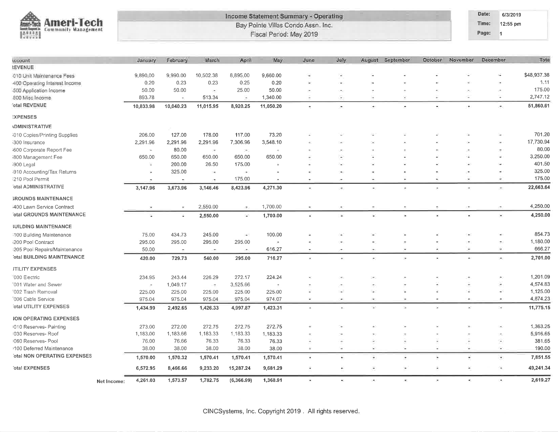

#### Income Statement Summary - Operating Bay Pointe Villas Condo Assn. Inc. Fiscal Period: May 2019

Date: 6/3/2019

Time: 12:55 pm Page: 1

| iccount                            |             | January              | February                 | March                    | April                    | May                      | June          | July |                          | August September | October                  | November             | December                 | Total       |
|------------------------------------|-------------|----------------------|--------------------------|--------------------------|--------------------------|--------------------------|---------------|------|--------------------------|------------------|--------------------------|----------------------|--------------------------|-------------|
| <b><i>LEVENUE</i></b>              |             |                      |                          |                          |                          |                          |               |      |                          |                  |                          |                      |                          |             |
| 010 Unit Maintenance Fees          |             | 9,890.00             | 9,990.00                 | 10,502.38                | 8,895,00                 | 9,660.00                 |               | 2    |                          |                  |                          |                      | ×,                       | \$48,937.38 |
| 400 Operating Interest Income      |             | 0.20                 | 0.23                     | 0.23                     | 0.25                     | 0.20                     |               |      |                          |                  |                          |                      |                          | 1.11        |
| 500 Application Income             |             | 50.00                | 50.00                    | ×                        | 25.00                    | 50.00                    |               |      |                          |                  |                          |                      | ÷                        | 175.00      |
| 800 Misc Income                    |             | 893.78               | $\overline{\phantom{a}}$ | 513.34                   | $\overline{\phantom{a}}$ | 1,340.00                 |               | 9    | $\sim$                   | ×                | ۰                        | Ξ                    | ×.                       | 2,747.12    |
| otal REVENUE                       |             | 10,833.98            | 10,040.23                | 11,015.95                | 8,920.25                 | 11,050.20                | $\bullet$     | ۰    | $\sim$                   | $\bullet$        | $\tilde{\phantom{a}}$    | ×                    | ×                        | 51,860.61   |
| <b>EXPENSES</b>                    |             |                      |                          |                          |                          |                          |               |      |                          |                  |                          |                      |                          |             |
| <b>IDMINISTRATIVE</b>              |             |                      |                          |                          |                          |                          |               |      |                          |                  |                          |                      |                          |             |
| 010 Copies/Printing Supplies       |             | 206.00               | 127.00                   | 178.00                   | 117.00                   | 73.20                    |               |      |                          |                  |                          |                      |                          | 701.20      |
| 300 Insurance                      |             | 2,291.96             | 2,291.96                 | 2,291.96                 | 7,306.96                 | 3,548.10                 |               |      |                          |                  |                          |                      |                          | 17,730.94   |
| 600 Corporate Report Fee           |             | $\ddot{\phantom{1}}$ | 80.00                    | 99                       | $\overline{\phantom{a}}$ |                          |               |      |                          |                  |                          |                      |                          | 80.00       |
| 800 Management Fee                 |             | 650.00               | 650.00                   | 650.00                   | 650.00                   | 650.00                   |               |      |                          |                  |                          |                      |                          | 3,250.00    |
| 900 Legal                          |             | 淫                    | 200.00                   | 26.50                    | 175.00                   | Ξ                        |               | w    |                          |                  |                          |                      |                          | 401.50      |
| 1910 Accounting/Tax Returns        |             | ٠                    | 325.00                   | ×.                       | $\rightarrow$            |                          |               | ۰    |                          |                  |                          |                      |                          | 325.00      |
| i210 Pool Permit                   |             | ÷                    | $\pm$                    | œ.                       | 175.00                   | $\overline{\phantom{a}}$ |               | ÷    | ÷                        | ٠                |                          | ٠                    |                          | 175.00      |
| otal ADMINISTRATIVE                |             | 3,147.96             | 3,673.96                 | 3,146.46                 | 8,423.96                 | 4,271.30                 | ¥             | ×    |                          | ×                |                          |                      | $\bullet$                | 22,663.64   |
| <b>GROUNDS MAINTENANCE</b>         |             |                      |                          |                          |                          |                          |               |      |                          |                  |                          |                      |                          |             |
| 400 Lawn Service Contract          |             |                      |                          | 2,550.00                 | $\overline{\phantom{a}}$ | 1,700.00                 |               |      |                          |                  |                          |                      |                          | 4,250.00    |
| otal GROUNDS MAINTENANCE           |             |                      | ÷                        | 2,550.00                 | GS.                      | 1,700.00                 | ÷,            | ×,   |                          |                  |                          |                      | ¥                        | 4,250.00    |
| <b><i>IUILDING MAINTENANCE</i></b> |             |                      |                          |                          |                          |                          |               |      |                          |                  |                          |                      |                          |             |
| 100 Building Maintenance           |             | 75.00                | 434.73                   | 245.00                   | $\sim$                   | 100.00                   |               |      |                          |                  |                          |                      | ٠                        | 854.73      |
| i200 Pool Contract                 |             | 295.00               | 295.00                   | 295.00                   | 295.00                   | ×                        |               |      |                          |                  |                          |                      |                          | 1,180.00    |
| 205 Pool Repairs/Maintenance       |             | 50.00                | $\equiv$                 | $\sim$                   | in t                     | 616.27                   |               |      |                          | ÷                |                          |                      | $\bar{\phantom{a}}$      | 666.27      |
| otal BUILDING MAINTENANCE          |             | 420.00               | 729.73                   | 540.00                   | 295.00                   | 716.27                   | ٠             | ٠    | $\blacksquare$           | $\sim$           | ٠                        |                      | $\blacksquare$           | 2,701.00    |
| <b><i>ITILITY EXPENSES</i></b>     |             |                      |                          |                          |                          |                          |               |      |                          |                  |                          |                      |                          |             |
| "000 Electric                      |             | 234.95               | 243.44                   | 226.29                   | 272,17                   | 224.24                   |               |      |                          |                  |                          |                      |                          | 1,201.09    |
| 001 Water and Sewer                |             | $\sigma$             | 1,049.17                 | $\overline{\mathcal{R}}$ | 3,525.66                 | ٠                        |               |      |                          |                  |                          |                      | $\overline{\phantom{a}}$ | 4,574.83    |
| '002 Trash Removal                 |             | 225.00               | 225.00                   | 225.00                   | 225.00                   | 225,00                   |               | V.   |                          |                  |                          | z                    | ÷.                       | 1,125.00    |
| '006 Cable Service                 |             | 975.04               | 975.04                   | 975.04                   | 975.04                   | 974.07                   |               |      |                          | ×,               |                          |                      |                          | 4,874.23    |
| otal UTILITY EXPENSES              |             | 1,434.99             | 2,492.65                 | 1,426.33                 | 4,997.87                 | 1,423.31                 |               |      | s.                       | ×.               |                          |                      | Ŷ.                       | 11,775.15   |
| <b>ION OPERATING EXPENSES</b>      |             |                      |                          |                          |                          |                          |               |      |                          |                  |                          |                      |                          |             |
| 010 Reserves- Painting             |             | 273.00               | 272.00                   | 272.75                   | 272.75                   | 272.75                   |               |      |                          |                  |                          |                      |                          | 1,363.25    |
| 1030 Reserves- Roof                |             | 1,183.00             | 1,183.66                 | 1,183.33                 | 1,183.33                 | 1,183.33                 |               |      |                          |                  |                          |                      |                          | 5,916.65    |
| 060 Reserves- Pool                 |             | 76.00                | 76.66                    | 76.33                    | 76.33                    | 76.33                    |               |      |                          |                  |                          |                      |                          | 381.65      |
| 1100 Deferred Maintenance          |             | 38.00                | 38.00                    | 38.00                    | 38.00                    | 38.00                    | $\mathcal{L}$ | ÷    | $\leq$                   | G.               |                          | ×.                   | G)                       | 190.00      |
| otal NON OPERATING EXPENSES        |             | 1,570.00             | 1,570.32                 | 1,570.41                 | 1,570.41                 | 1,570.41                 | ٠             | ÷,   | $\overline{\phantom{a}}$ | ٠                | ٠                        |                      | $\overline{\phantom{a}}$ | 7,851.55    |
| otal EXPENSES                      |             | 6,572.95             | 8,466.66                 | 9,233.20                 | 15,287.24                | 9,681.29                 | Φ             | ÷.   | ÷                        | ٠                | G                        | ×                    | G                        | 49,241.34   |
|                                    |             | 4,261.03             | 1,573.57                 | 1,782.75                 | (6, 366.99)              | 1,368.91                 | Ψ             | ٠    | ×                        | ٠                | $\overline{\phantom{a}}$ | $\tilde{\mathbf{r}}$ | œ,                       | 2,619.27    |
|                                    | Net Income: |                      |                          |                          |                          |                          |               |      |                          |                  |                          |                      |                          |             |